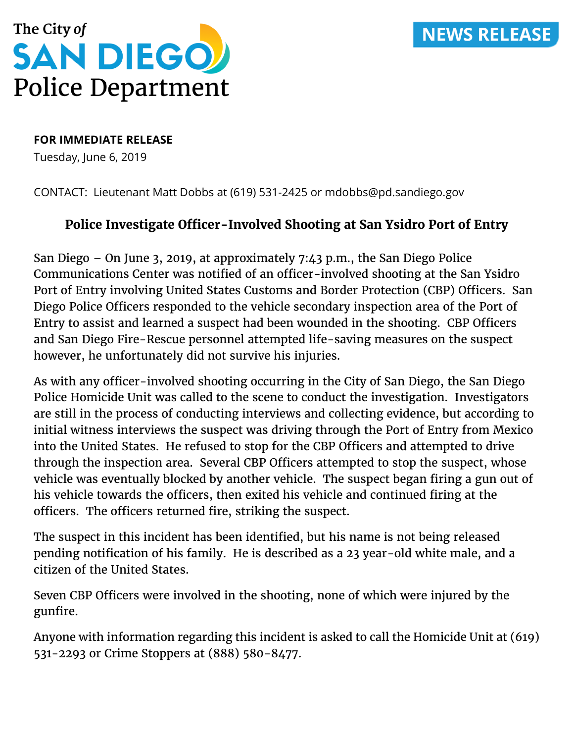## **NEWS RELEASE**



## **FOR IMMEDIATE RELEASE**

Tuesday, June 6, 2019

CONTACT: Lieutenant Matt Dobbs at (619) 531-2425 or mdobbs@pd.sandiego.gov

## **Police Investigate Officer-Involved Shooting at San Ysidro Port of Entry**

San Diego – On June 3, 2019, at approximately 7:43 p.m., the San Diego Police Communications Center was notified of an officer-involved shooting at the San Ysidro Port of Entry involving United States Customs and Border Protection (CBP) Officers. San Diego Police Officers responded to the vehicle secondary inspection area of the Port of Entry to assist and learned a suspect had been wounded in the shooting. CBP Officers and San Diego Fire-Rescue personnel attempted life-saving measures on the suspect however, he unfortunately did not survive his injuries.

As with any officer-involved shooting occurring in the City of San Diego, the San Diego Police Homicide Unit was called to the scene to conduct the investigation. Investigators are still in the process of conducting interviews and collecting evidence, but according to initial witness interviews the suspect was driving through the Port of Entry from Mexico into the United States. He refused to stop for the CBP Officers and attempted to drive through the inspection area. Several CBP Officers attempted to stop the suspect, whose vehicle was eventually blocked by another vehicle. The suspect began firing a gun out of his vehicle towards the officers, then exited his vehicle and continued firing at the officers. The officers returned fire, striking the suspect.

The suspect in this incident has been identified, but his name is not being released pending notification of his family. He is described as a 23 year-old white male, and a citizen of the United States.

Seven CBP Officers were involved in the shooting, none of which were injured by the gunfire.

Anyone with information regarding this incident is asked to call the Homicide Unit at (619) 531-2293 or Crime Stoppers at (888) 580-8477.